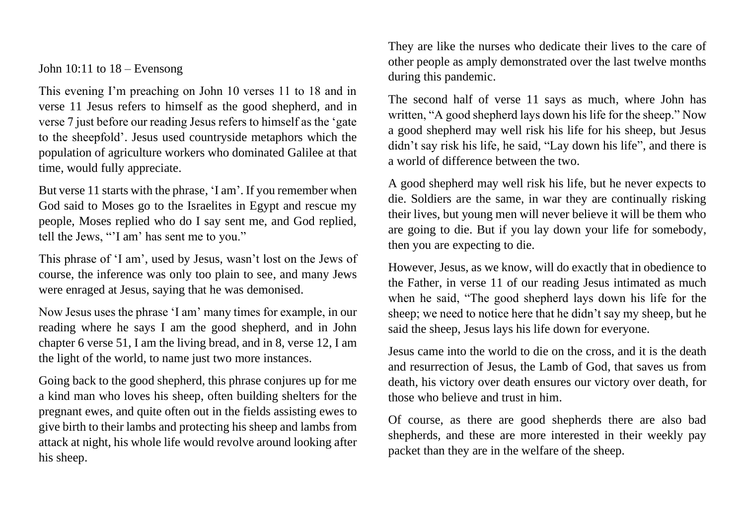John  $10:11$  to  $18$  – Evensong

This evening I'm preaching on John 10 verses 11 to 18 and in verse 11 Jesus refers to himself as the good shepherd, and in verse 7 just before our reading Jesus refers to himself as the 'gate to the sheepfold'. Jesus used countryside metaphors which the population of agriculture workers who dominated Galilee at that time, would fully appreciate.

But verse 11 starts with the phrase, 'I am'. If you remember when God said to Moses go to the Israelites in Egypt and rescue my people, Moses replied who do I say sent me, and God replied, tell the Jews, "'I am' has sent me to you."

This phrase of 'I am', used by Jesus, wasn't lost on the Jews of course, the inference was only too plain to see, and many Jews were enraged at Jesus, saying that he was demonised.

Now Jesus uses the phrase 'I am' many times for example, in our reading where he says I am the good shepherd, and in John chapter 6 verse 51, I am the living bread, and in 8, verse 12, I am the light of the world, to name just two more instances.

Going back to the good shepherd, this phrase conjures up for me a kind man who loves his sheep, often building shelters for the pregnant ewes, and quite often out in the fields assisting ewes to give birth to their lambs and protecting his sheep and lambs from attack at night, his whole life would revolve around looking after his sheep.

They are like the nurses who dedicate their lives to the care of other people as amply demonstrated over the last twelve months during this pandemic.

The second half of verse 11 says as much, where John has written, "A good shepherd lays down his life for the sheep." Now a good shepherd may well risk his life for his sheep, but Jesus didn't say risk his life, he said, "Lay down his life", and there is a world of difference between the two.

A good shepherd may well risk his life, but he never expects to die. Soldiers are the same, in war they are continually risking their lives, but young men will never believe it will be them who are going to die. But if you lay down your life for somebody, then you are expecting to die.

However, Jesus, as we know, will do exactly that in obedience to the Father, in verse 11 of our reading Jesus intimated as much when he said, "The good shepherd lays down his life for the sheep; we need to notice here that he didn't say my sheep, but he said the sheep, Jesus lays his life down for everyone.

Jesus came into the world to die on the cross, and it is the death and resurrection of Jesus, the Lamb of God, that saves us from death, his victory over death ensures our victory over death, for those who believe and trust in him.

Of course, as there are good shepherds there are also bad shepherds, and these are more interested in their weekly pay packet than they are in the welfare of the sheep.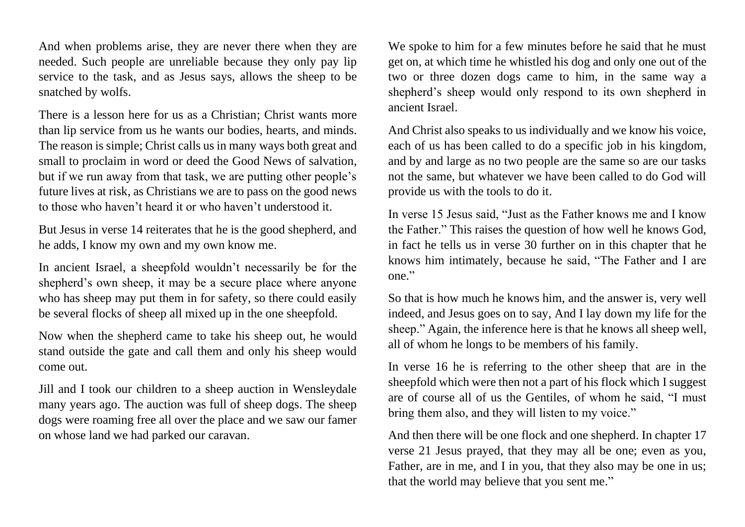And when problems arise, they are never there when they are needed. Such people are unreliable because they only pay lip service to the task, and as Jesus says, allows the sheep to be snatched by wolfs.

There is a lesson here for us as a Christian; Christ wants more than lip service from us he wants our bodies, hearts, and minds. The reason is simple; Christ calls us in many ways both great and small to proclaim in word or deed the Good News of salvation, but if we run away from that task, we are putting other people's future lives at risk, as Christians we are to pass on the good news to those who haven't heard it or who haven't understood it.

But Jesus in verse 14 reiterates that he is the good shepherd, and he adds, I know my own and my own know me.

In ancient Israel, a sheepfold wouldn't necessarily be for the shepherd's own sheep, it may be a secure place where anyone who has sheep may put them in for safety, so there could easily be several flocks of sheep all mixed up in the one sheepfold.

Now when the shepherd came to take his sheep out, he would stand outside the gate and call them and only his sheep would come out.

Jill and I took our children to a sheep auction in Wensleydale many years ago. The auction was full of sheep dogs. The sheep dogs were roaming free all over the place and we saw our famer on whose land we had parked our caravan.

We spoke to him for a few minutes before he said that he must get on, at which time he whistled his dog and only one out of the two or three dozen dogs came to him, in the same way a shepherd's sheep would only respond to its own shepherd in ancient Israel.

And Christ also speaks to us individually and we know his voice, each of us has been called to do a specific job in his kingdom, and by and large as no two people are the same so are our tasks not the same, but whatever we have been called to do God will provide us with the tools to do it.

In verse 15 Jesus said, "Just as the Father knows me and I know the Father." This raises the question of how well he knows God, in fact he tells us in verse 30 further on in this chapter that he knows him intimately, because he said, "The Father and I are one."

So that is how much he knows him, and the answer is, very well indeed, and Jesus goes on to say, And I lay down my life for the sheep." Again, the inference here is that he knows all sheep well, all of whom he longs to be members of his family.

In verse 16 he is referring to the other sheep that are in the sheepfold which were then not a part of his flock which I suggest are of course all of us the Gentiles, of whom he said, "I must bring them also, and they will listen to my voice."

And then there will be one flock and one shepherd. In chapter 17 verse 21 Jesus prayed, that they may all be one; even as you, Father, are in me, and I in you, that they also may be one in us; that the world may believe that you sent me."